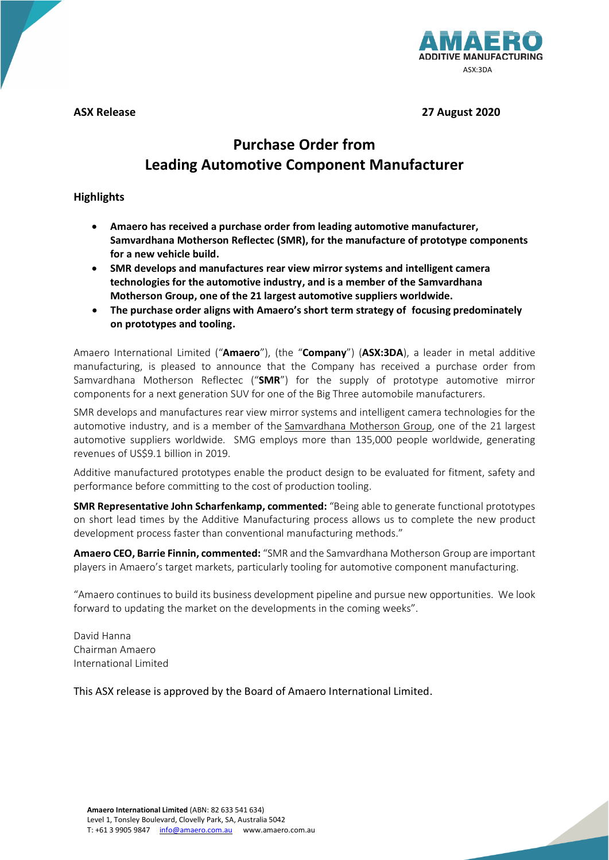

**ASX Release 27 August 2020**

# **Purchase Order from Leading Automotive Component Manufacturer**

# **Highlights**

- **Amaero has received a purchase order from leading automotive manufacturer, Samvardhana Motherson Reflectec (SMR), for the manufacture of prototype components for a new vehicle build.**
- **SMR develops and manufactures rear view mirror systems and intelligent camera technologies for the automotive industry, and is a member of the [Samvardhana](http://www.motherson.com/)  [Motherson Group,](http://www.motherson.com/) one of the 21 largest automotive suppliers worldwide.**
- **The purchase order aligns with Amaero's short term strategy of focusing predominately on prototypes and tooling.**

Amaero International Limited ("**Amaero**"), (the "**Company**") (**ASX:3DA**), a leader in metal additive manufacturing, is pleased to announce that the Company has received a purchase order from Samvardhana Motherson Reflectec ("**SMR**") for the supply of prototype automotive mirror components for a next generation SUV for one of the Big Three automobile manufacturers.

SMR develops and manufactures rear view mirror systems and intelligent camera technologies for the automotive industry, and is a member of the [Samvardhana](http://www.motherson.com/) Motherson Group, one of the 21 largest automotive suppliers worldwide. SMG employs more than 135,000 people worldwide, generating revenues of US\$9.1 billion in 2019.

Additive manufactured prototypes enable the product design to be evaluated for fitment, safety and performance before committing to the cost of production tooling.

**SMR Representative John Scharfenkamp, commented:** "Being able to generate functional prototypes on short lead times by the Additive Manufacturing process allows us to complete the new product development process faster than conventional manufacturing methods."

**Amaero CEO, Barrie Finnin, commented:** "SMR and the Samvardhana Motherson Group are important players in Amaero's target markets, particularly tooling for automotive component manufacturing.

"Amaero continues to build its business development pipeline and pursue new opportunities. We look forward to updating the market on the developments in the coming weeks".

David Hanna Chairman Amaero International Limited

This ASX release is approved by the Board of Amaero International Limited.